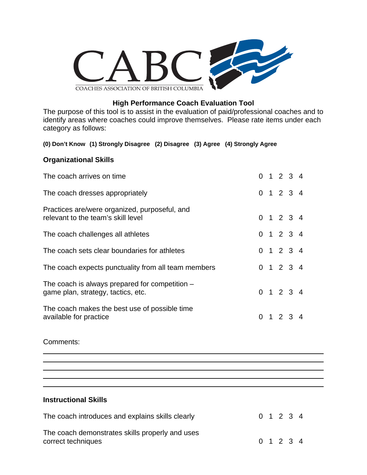

### **High Performance Coach Evaluation Tool**

The purpose of this tool is to assist in the evaluation of paid/professional coaches and to identify areas where coaches could improve themselves. Please rate items under each category as follows:

### **(0) Don't Know (1) Strongly Disagree (2) Disagree (3) Agree (4) Strongly Agree**

### **Organizational Skills**

| The coach arrives on time                                                            |  | $0 \t1 \t2 \t3 \t4$ |  |
|--------------------------------------------------------------------------------------|--|---------------------|--|
| The coach dresses appropriately                                                      |  | 0 1 2 3 4           |  |
| Practices are/were organized, purposeful, and<br>relevant to the team's skill level  |  | 0 1 2 3 4           |  |
| The coach challenges all athletes                                                    |  | 0 1 2 3 4           |  |
| The coach sets clear boundaries for athletes                                         |  | 0 1 2 3 4           |  |
| The coach expects punctuality from all team members                                  |  | 0 1 2 3 4           |  |
| The coach is always prepared for competition -<br>game plan, strategy, tactics, etc. |  | 0 1 2 3 4           |  |
| The coach makes the best use of possible time<br>available for practice              |  | $0 \t1 \t2 \t3 \t4$ |  |

Comments:

 $\overline{a}$ 

 $\overline{a}$ 

**Instructional Skills** 

| The coach introduces and explains skills clearly                      | 0 1 2 3 4 |  |  |
|-----------------------------------------------------------------------|-----------|--|--|
| The coach demonstrates skills properly and uses<br>correct techniques | 0 1 2 3 4 |  |  |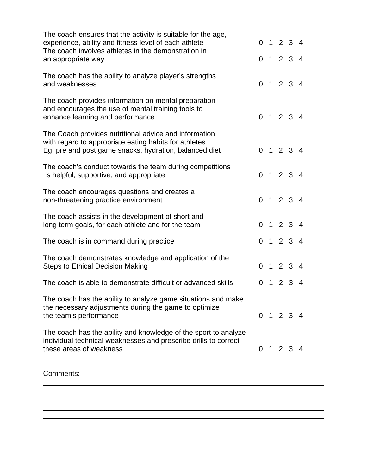| The coach ensures that the activity is suitable for the age,<br>experience, ability and fitness level of each athlete                                                    |  | 0 1 2 3 4       |                |
|--------------------------------------------------------------------------------------------------------------------------------------------------------------------------|--|-----------------|----------------|
| The coach involves athletes in the demonstration in<br>an appropriate way                                                                                                |  | 0 1 2 3 4       |                |
| The coach has the ability to analyze player's strengths<br>and weaknesses                                                                                                |  | 0 1 2 3 4       |                |
| The coach provides information on mental preparation<br>and encourages the use of mental training tools to<br>enhance learning and performance                           |  | 0 1 2 3 4       |                |
| The Coach provides nutritional advice and information<br>with regard to appropriate eating habits for athletes<br>Eg: pre and post game snacks, hydration, balanced diet |  | 0 1 2 3 4       |                |
| The coach's conduct towards the team during competitions<br>is helpful, supportive, and appropriate                                                                      |  | 0 1 2 3 4       |                |
| The coach encourages questions and creates a<br>non-threatening practice environment                                                                                     |  | 0 1 2 3 4       |                |
| The coach assists in the development of short and<br>long term goals, for each athlete and for the team                                                                  |  | 0 1 2 3 4       |                |
| The coach is in command during practice                                                                                                                                  |  | 0 1 2 3 4       |                |
| The coach demonstrates knowledge and application of the<br><b>Steps to Ethical Decision Making</b>                                                                       |  | 0 1 2 3 4       |                |
| The coach is able to demonstrate difficult or advanced skills                                                                                                            |  | $0 \t1 \t2 \t3$ | $\overline{4}$ |
| The coach has the ability to analyze game situations and make<br>the necessary adjustments during the game to optimize<br>the team's performance                         |  | 0 1 2 3 4       |                |
| The coach has the ability and knowledge of the sport to analyze<br>individual technical weaknesses and prescribe drills to correct<br>these areas of weakness            |  | 0 1 2 3 4       |                |
|                                                                                                                                                                          |  |                 |                |

Comments:

 $\overline{a}$ 

 $\overline{a}$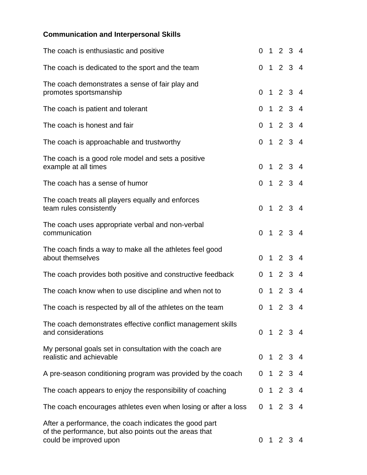# **Communication and Interpersonal Skills**

| The coach is enthusiastic and positive                                                                                                     |                |                | 0 1 2 3 4      |             |                |
|--------------------------------------------------------------------------------------------------------------------------------------------|----------------|----------------|----------------|-------------|----------------|
| The coach is dedicated to the sport and the team                                                                                           |                |                | 0 1 2 3 4      |             |                |
| The coach demonstrates a sense of fair play and<br>promotes sportsmanship                                                                  |                |                | 0 1 2 3 4      |             |                |
| The coach is patient and tolerant                                                                                                          |                |                | 0 1 2 3 4      |             |                |
| The coach is honest and fair                                                                                                               |                |                | 0 1 2 3 4      |             |                |
| The coach is approachable and trustworthy                                                                                                  |                |                | 0 1 2 3 4      |             |                |
| The coach is a good role model and sets a positive<br>example at all times                                                                 |                |                | 0 1 2 3 4      |             |                |
| The coach has a sense of humor                                                                                                             |                |                | 0 1 2 3 4      |             |                |
| The coach treats all players equally and enforces<br>team rules consistently                                                               |                |                | 0 1 2 3 4      |             |                |
| The coach uses appropriate verbal and non-verbal<br>communication                                                                          |                |                | 0 1 2 3 4      |             |                |
| The coach finds a way to make all the athletes feel good<br>about themselves                                                               | $\overline{0}$ |                | 1 2 3 4        |             |                |
| The coach provides both positive and constructive feedback                                                                                 |                |                | 0 1 2 3 4      |             |                |
| The coach know when to use discipline and when not to                                                                                      |                | 0 <sub>1</sub> |                | $2 \t3 \t4$ |                |
| The coach is respected by all of the athletes on the team                                                                                  | $\overline{0}$ | $\mathbf 1$    | 2 <sub>3</sub> |             | $\overline{4}$ |
| The coach demonstrates effective conflict management skills<br>and considerations                                                          |                |                | 0 1 2 3 4      |             |                |
| My personal goals set in consultation with the coach are<br>realistic and achievable                                                       |                |                | 0 1 2 3 4      |             |                |
| A pre-season conditioning program was provided by the coach                                                                                |                |                | 0 1 2 3 4      |             |                |
| The coach appears to enjoy the responsibility of coaching                                                                                  |                |                | 0 1 2 3 4      |             |                |
| The coach encourages athletes even when losing or after a loss                                                                             |                |                | 0 1 2 3 4      |             |                |
| After a performance, the coach indicates the good part<br>of the performance, but also points out the areas that<br>could be improved upon |                |                | 0 1 2 3 4      |             |                |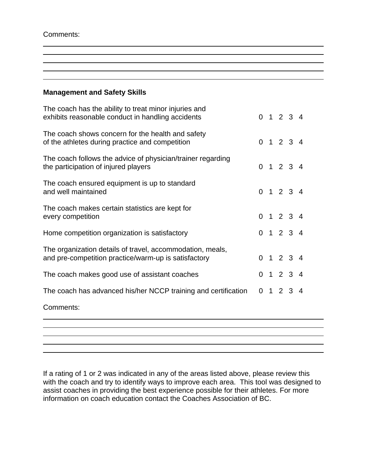Comments:

 $\overline{a}$ 

### **Management and Safety Skills**

| Comments:                                                                                                         |  |                     |  |
|-------------------------------------------------------------------------------------------------------------------|--|---------------------|--|
| The coach has advanced his/her NCCP training and certification                                                    |  | 0 1 2 3 4           |  |
| The coach makes good use of assistant coaches                                                                     |  | 0 1 2 3 4           |  |
| The organization details of travel, accommodation, meals,<br>and pre-competition practice/warm-up is satisfactory |  | 0 1 2 3 4           |  |
| Home competition organization is satisfactory                                                                     |  | 0 1 2 3 4           |  |
| The coach makes certain statistics are kept for<br>every competition                                              |  | 0 1 2 3 4           |  |
| The coach ensured equipment is up to standard<br>and well maintained                                              |  | $0 \t1 \t2 \t3 \t4$ |  |
| The coach follows the advice of physician/trainer regarding<br>the participation of injured players               |  | 0 1 2 3 4           |  |
| The coach shows concern for the health and safety<br>of the athletes during practice and competition              |  | $0 \t1 \t2 \t3 \t4$ |  |
| The coach has the ability to treat minor injuries and<br>exhibits reasonable conduct in handling accidents        |  | $0 \t1 \t2 \t3 \t4$ |  |

If a rating of 1 or 2 was indicated in any of the areas listed above, please review this with the coach and try to identify ways to improve each area. This tool was designed to assist coaches in providing the best experience possible for their athletes. For more information on coach education contact the Coaches Association of BC.